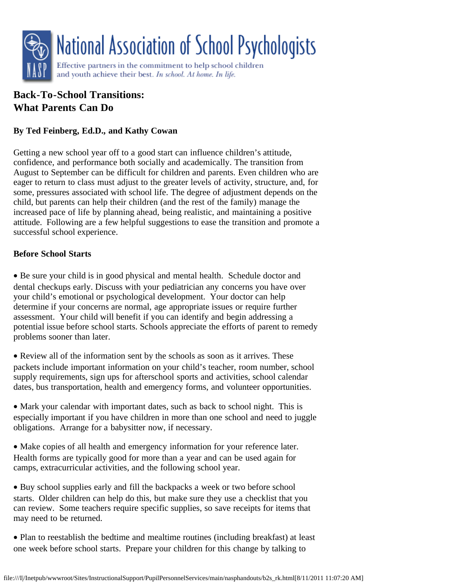

# **Back-To-School Transitions: What Parents Can Do**

## **By Ted Feinberg, Ed.D., and Kathy Cowan**

Getting a new school year off to a good start can influence children's attitude, confidence, and performance both socially and academically. The transition from August to September can be difficult for children and parents. Even children who are eager to return to class must adjust to the greater levels of activity, structure, and, for some, pressures associated with school life. The degree of adjustment depends on the child, but parents can help their children (and the rest of the family) manage the increased pace of life by planning ahead, being realistic, and maintaining a positive attitude. Following are a few helpful suggestions to ease the transition and promote a successful school experience.

## **Before School Starts**

· Be sure your child is in good physical and mental health. Schedule doctor and dental checkups early. Discuss with your pediatrician any concerns you have over your child's emotional or psychological development. Your doctor can help determine if your concerns are normal, age appropriate issues or require further assessment. Your child will benefit if you can identify and begin addressing a potential issue before school starts. Schools appreciate the efforts of parent to remedy problems sooner than later.

· Review all of the information sent by the schools as soon as it arrives. These packets include important information on your child's teacher, room number, school supply requirements, sign ups for afterschool sports and activities, school calendar dates, bus transportation, health and emergency forms, and volunteer opportunities.

· Mark your calendar with important dates, such as back to school night. This is especially important if you have children in more than one school and need to juggle obligations. Arrange for a babysitter now, if necessary.

· Make copies of all health and emergency information for your reference later. Health forms are typically good for more than a year and can be used again for camps, extracurricular activities, and the following school year.

· Buy school supplies early and fill the backpacks a week or two before school starts. Older children can help do this, but make sure they use a checklist that you can review. Some teachers require specific supplies, so save receipts for items that may need to be returned.

· Plan to reestablish the bedtime and mealtime routines (including breakfast) at least one week before school starts. Prepare your children for this change by talking to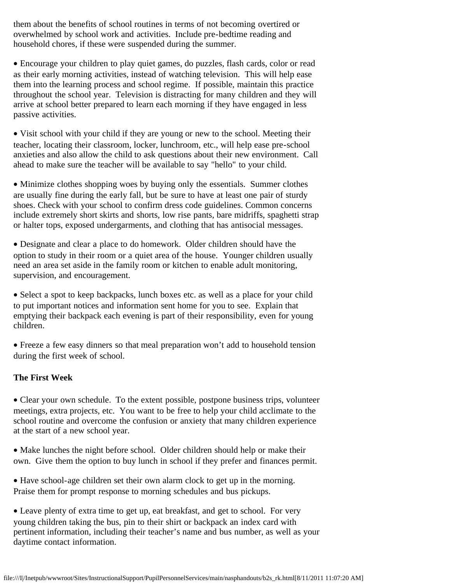them about the benefits of school routines in terms of not becoming overtired or overwhelmed by school work and activities. Include pre-bedtime reading and household chores, if these were suspended during the summer.

· Encourage your children to play quiet games, do puzzles, flash cards, color or read as their early morning activities, instead of watching television. This will help ease them into the learning process and school regime. If possible, maintain this practice throughout the school year. Television is distracting for many children and they will arrive at school better prepared to learn each morning if they have engaged in less passive activities.

• Visit school with your child if they are young or new to the school. Meeting their teacher, locating their classroom, locker, lunchroom, etc., will help ease pre-school anxieties and also allow the child to ask questions about their new environment. Call ahead to make sure the teacher will be available to say "hello" to your child.

· Minimize clothes shopping woes by buying only the essentials. Summer clothes are usually fine during the early fall, but be sure to have at least one pair of sturdy shoes. Check with your school to confirm dress code guidelines. Common concerns include extremely short skirts and shorts, low rise pants, bare midriffs, spaghetti strap or halter tops, exposed undergarments, and clothing that has antisocial messages.

· Designate and clear a place to do homework. Older children should have the option to study in their room or a quiet area of the house. Younger children usually need an area set aside in the family room or kitchen to enable adult monitoring, supervision, and encouragement.

• Select a spot to keep backpacks, lunch boxes etc. as well as a place for your child to put important notices and information sent home for you to see. Explain that emptying their backpack each evening is part of their responsibility, even for young children.

· Freeze a few easy dinners so that meal preparation won't add to household tension during the first week of school.

## **The First Week**

· Clear your own schedule. To the extent possible, postpone business trips, volunteer meetings, extra projects, etc. You want to be free to help your child acclimate to the school routine and overcome the confusion or anxiety that many children experience at the start of a new school year.

· Make lunches the night before school. Older children should help or make their own. Give them the option to buy lunch in school if they prefer and finances permit.

· Have school-age children set their own alarm clock to get up in the morning. Praise them for prompt response to morning schedules and bus pickups.

· Leave plenty of extra time to get up, eat breakfast, and get to school. For very young children taking the bus, pin to their shirt or backpack an index card with pertinent information, including their teacher's name and bus number, as well as your daytime contact information.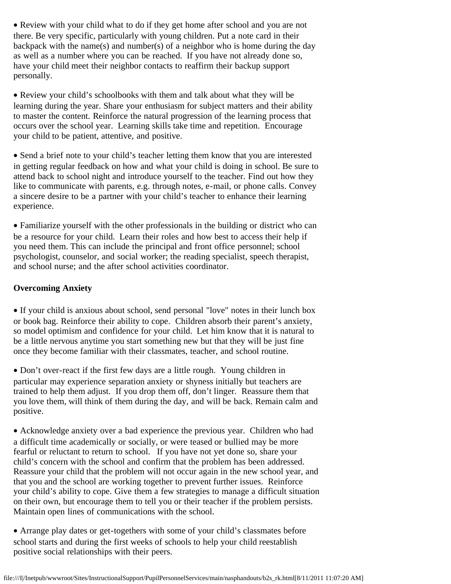· Review with your child what to do if they get home after school and you are not there. Be very specific, particularly with young children. Put a note card in their backpack with the name(s) and number(s) of a neighbor who is home during the day as well as a number where you can be reached. If you have not already done so, have your child meet their neighbor contacts to reaffirm their backup support personally.

· Review your child's schoolbooks with them and talk about what they will be learning during the year. Share your enthusiasm for subject matters and their ability to master the content. Reinforce the natural progression of the learning process that occurs over the school year. Learning skills take time and repetition. Encourage your child to be patient, attentive, and positive.

· Send a brief note to your child's teacher letting them know that you are interested in getting regular feedback on how and what your child is doing in school. Be sure to attend back to school night and introduce yourself to the teacher. Find out how they like to communicate with parents, e.g. through notes, e-mail, or phone calls. Convey a sincere desire to be a partner with your child's teacher to enhance their learning experience.

· Familiarize yourself with the other professionals in the building or district who can be a resource for your child. Learn their roles and how best to access their help if you need them. This can include the principal and front office personnel; school psychologist, counselor, and social worker; the reading specialist, speech therapist, and school nurse; and the after school activities coordinator.

#### **Overcoming Anxiety**

· If your child is anxious about school, send personal "love" notes in their lunch box or book bag. Reinforce their ability to cope. Children absorb their parent's anxiety, so model optimism and confidence for your child. Let him know that it is natural to be a little nervous anytime you start something new but that they will be just fine once they become familiar with their classmates, teacher, and school routine.

· Don't over-react if the first few days are a little rough. Young children in particular may experience separation anxiety or shyness initially but teachers are trained to help them adjust. If you drop them off, don't linger. Reassure them that you love them, will think of them during the day, and will be back. Remain calm and positive.

· Acknowledge anxiety over a bad experience the previous year. Children who had a difficult time academically or socially, or were teased or bullied may be more fearful or reluctant to return to school. If you have not yet done so, share your child's concern with the school and confirm that the problem has been addressed. Reassure your child that the problem will not occur again in the new school year, and that you and the school are working together to prevent further issues. Reinforce your child's ability to cope. Give them a few strategies to manage a difficult situation on their own, but encourage them to tell you or their teacher if the problem persists. Maintain open lines of communications with the school.

· Arrange play dates or get-togethers with some of your child's classmates before school starts and during the first weeks of schools to help your child reestablish positive social relationships with their peers.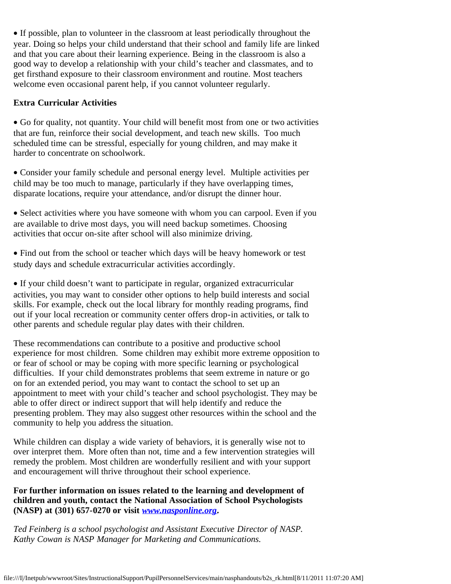· If possible, plan to volunteer in the classroom at least periodically throughout the year. Doing so helps your child understand that their school and family life are linked and that you care about their learning experience. Being in the classroom is also a good way to develop a relationship with your child's teacher and classmates, and to get firsthand exposure to their classroom environment and routine. Most teachers welcome even occasional parent help, if you cannot volunteer regularly.

### **Extra Curricular Activities**

· Go for quality, not quantity. Your child will benefit most from one or two activities that are fun, reinforce their social development, and teach new skills. Too much scheduled time can be stressful, especially for young children, and may make it harder to concentrate on schoolwork.

· Consider your family schedule and personal energy level. Multiple activities per child may be too much to manage, particularly if they have overlapping times, disparate locations, require your attendance, and/or disrupt the dinner hour.

· Select activities where you have someone with whom you can carpool. Even if you are available to drive most days, you will need backup sometimes. Choosing activities that occur on-site after school will also minimize driving.

· Find out from the school or teacher which days will be heavy homework or test study days and schedule extracurricular activities accordingly.

· If your child doesn't want to participate in regular, organized extracurricular activities, you may want to consider other options to help build interests and social skills. For example, check out the local library for monthly reading programs, find out if your local recreation or community center offers drop-in activities, or talk to other parents and schedule regular play dates with their children.

These recommendations can contribute to a positive and productive school experience for most children. Some children may exhibit more extreme opposition to or fear of school or may be coping with more specific learning or psychological difficulties. If your child demonstrates problems that seem extreme in nature or go on for an extended period, you may want to contact the school to set up an appointment to meet with your child's teacher and school psychologist. They may be able to offer direct or indirect support that will help identify and reduce the presenting problem. They may also suggest other resources within the school and the community to help you address the situation.

While children can display a wide variety of behaviors, it is generally wise not to over interpret them. More often than not, time and a few intervention strategies will remedy the problem. Most children are wonderfully resilient and with your support and encouragement will thrive throughout their school experience.

### **For further information on issues related to the learning and development of children and youth, contact the National Association of School Psychologists (NASP) at (301) 657-0270 or visit** *[www.nasponline.org](http://www.nasponline.org/).*

*Ted Feinberg is a school psychologist and Assistant Executive Director of NASP. Kathy Cowan is NASP Manager for Marketing and Communications.*